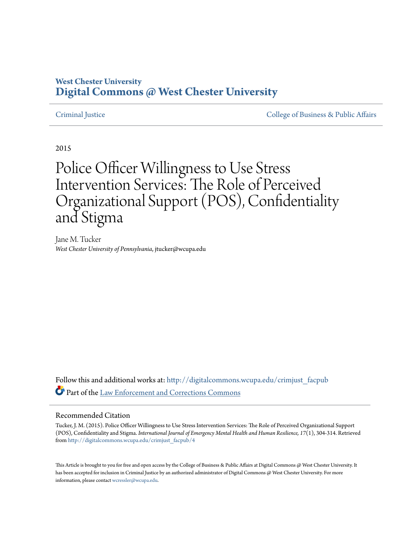## **West Chester University [Digital Commons @ West Chester University](http://digitalcommons.wcupa.edu?utm_source=digitalcommons.wcupa.edu%2Fcrimjust_facpub%2F4&utm_medium=PDF&utm_campaign=PDFCoverPages)**

[Criminal Justice](http://digitalcommons.wcupa.edu/crimjust_facpub?utm_source=digitalcommons.wcupa.edu%2Fcrimjust_facpub%2F4&utm_medium=PDF&utm_campaign=PDFCoverPages) [College of Business & Public Affairs](http://digitalcommons.wcupa.edu/cbpa?utm_source=digitalcommons.wcupa.edu%2Fcrimjust_facpub%2F4&utm_medium=PDF&utm_campaign=PDFCoverPages)

2015

# Police Officer Willingness to Use Stress Intervention Services: The Role of Perceived Organizational Support (POS), Confidentiality and Stigma

Jane M. Tucker *West Chester University of Pennsylvania*, jtucker@wcupa.edu

Follow this and additional works at: [http://digitalcommons.wcupa.edu/crimjust\\_facpub](http://digitalcommons.wcupa.edu/crimjust_facpub?utm_source=digitalcommons.wcupa.edu%2Fcrimjust_facpub%2F4&utm_medium=PDF&utm_campaign=PDFCoverPages) Part of the [Law Enforcement and Corrections Commons](http://network.bepress.com/hgg/discipline/854?utm_source=digitalcommons.wcupa.edu%2Fcrimjust_facpub%2F4&utm_medium=PDF&utm_campaign=PDFCoverPages)

#### Recommended Citation

Tucker, J. M. (2015). Police Officer Willingness to Use Stress Intervention Services: The Role of Perceived Organizational Support (POS), Confidentiality and Stigma. *International Journal of Emergency Mental Health and Human Resilience, 17*(1), 304-314. Retrieved from [http://digitalcommons.wcupa.edu/crimjust\\_facpub/4](http://digitalcommons.wcupa.edu/crimjust_facpub/4?utm_source=digitalcommons.wcupa.edu%2Fcrimjust_facpub%2F4&utm_medium=PDF&utm_campaign=PDFCoverPages)

This Article is brought to you for free and open access by the College of Business & Public Affairs at Digital Commons @ West Chester University. It has been accepted for inclusion in Criminal Justice by an authorized administrator of Digital Commons @ West Chester University. For more information, please contact [wcressler@wcupa.edu.](mailto:wcressler@wcupa.edu)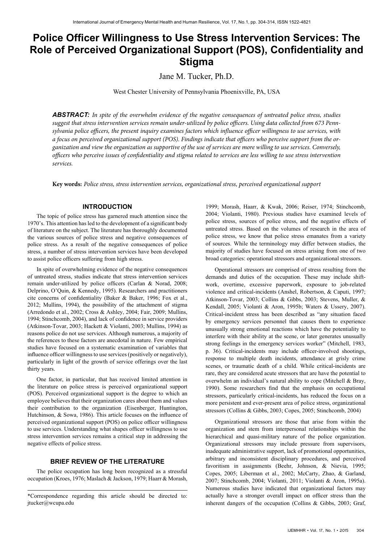# **Police Officer Willingness to Use Stress Intervention Services: The Role of Perceived Organizational Support (POS), Confidentiality and Stigma**

Jane M. Tucker, Ph.D.

West Chester University of Pennsylvania Phoenixville, PA, USA

*ABSTRACT: In spite of the overwhelm evidence of the negative consequences of untreated police stress, studies suggest that stress intervention services remain under-utilized by police officers. Using data collected from 673 Pennsylvania police officers, the present inquiry examines factors which influence officer willingness to use services, with a focus on perceived organizational support (POS). Findings indicate that officers who perceive support from the organization and view the organization as supportive of the use of services are more willing to use services. Conversely, officers who perceive issues of confidentiality and stigma related to services are less willing to use stress intervention services.*

**Key words:** *Police stress, stress intervention services, organizational stress, perceived organizational support*

#### **INTRODUCTION**

The topic of police stress has garnered much attention since the 1970's. This attention has led to the development of a significant body of literature on the subject. The literature has thoroughly documented the various sources of police stress and negative consequences of police stress. As a result of the negative consequences of police stress, a number of stress intervention services have been developed to assist police officers suffering from high stress.

In spite of overwhelming evidence of the negative consequences of untreated stress, studies indicate that stress intervention services remain under-utilized by police officers (Carlan & Norad, 2008; Delprino, O'Quin, & Kennedy, 1995). Researchers and practitioners cite concerns of confidentiality (Baker & Baker, 1996; Fox et al., 2012; Mullins, 1994), the possibility of the attachment of stigma (Arredondo et al., 2002; Cross & Ashley, 2004; Fair, 2009; Mullins, 1994; Stinchcomb, 2004), and lack of confidence in service providers (Atkinson-Tovar, 2003; Hackett & Violanti, 2003; Mullins, 1994) as reasons police do not use services. Although numerous, a majority of the references to these factors are anecdotal in nature. Few empirical studies have focused on a systematic examination of variables that influence officer willingness to use services (positively or negatively), particularly in light of the growth of service offerings over the last thirty years.

One factor, in particular, that has received limited attention in the literature on police stress is perceived organizational support (POS). Perceived organizational support is the degree to which an employee believes that their organization cares about them and values their contribution to the organization (Eisenberger, Huntington, Hutchinson, & Sowa, 1986). This article focuses on the influence of perceived organizational support (POS) on police officer willingness to use services. Understanding what shapes officer willingness to use stress intervention services remains a critical step in addressing the negative effects of police stress.

### **BRIEF REVIEW OF THE LITERATURE**

The police occupation has long been recognized as a stressful occupation (Kroes, 1976; Maslach & Jackson, 1979; Haarr & Morash,

1999; Morash, Haarr, & Kwak, 2006; Reiser, 1974; Stinchcomb, 2004; Violanti, 1980). Previous studies have examined levels of police stress, sources of police stress, and the negative effects of untreated stress. Based on the volumes of research in the area of police stress, we know that police stress emanates from a variety of sources. While the terminology may differ between studies, the majority of studies have focused on stress arising from one of two broad categories: operational stressors and organizational stressors.

Operational stressors are comprised of stress resulting from the demands and duties of the occupation. These may include shiftwork, overtime, excessive paperwork, exposure to job-related violence and critical-incidents (Anshel, Robertson, & Caputi, 1997; Atkinson-Tovar, 2003; Collins & Gibbs, 2003; Stevens, Muller, & Kendall, 2005; Violanti & Aron, 1995b; Waters & Ussery, 2007). Critical-incident stress has been described as "any situation faced by emergency services personnel that causes them to experience unusually strong emotional reactions which have the potentiality to interfere with their ability at the scene, or later generates unusually strong feelings in the emergency services worker" (Mitchell, 1983, p. 36). Critical-incidents may include officer-involved shootings, response to multiple death incidents, attendance at grisly crime scenes, or traumatic death of a child. While critical-incidents are rare, they are considered acute stressors that are have the potential to overwhelm an individual's natural ability to cope (Mitchell & Bray, 1990). Some researchers find that the emphasis on occupational stressors, particularly critical-incidents, has reduced the focus on a more persistent and ever-present area of police stress, organizational stressors (Collins & Gibbs, 2003; Copes, 2005; Stinchcomb, 2004)

Organizational stressors are those that arise from within the organization and stem from interpersonal relationships within the hierarchical and quasi-military nature of the police organization. Organizational stressors may include pressure from supervisors, inadequate administrative support, lack of promotional opportunities, arbitrary and inconsistent disciplinary procedures, and perceived favoritism in assignments (Beehr, Johnson, & Nievia, 1995; Copes, 2005; Liberman et al., 2002; McCarty, Zhao, & Garland, 2007; Stinchcomb, 2004; Violanti, 2011; Violanti & Aron, 1995a). Numerous studies have indicated that organizational factors may actually have a stronger overall impact on officer stress than the inherent dangers of the occupation (Collins & Gibbs, 2003; Graf,

<sup>\*</sup>Correspondence regarding this article should be directed to: jtucker@wcupa.edu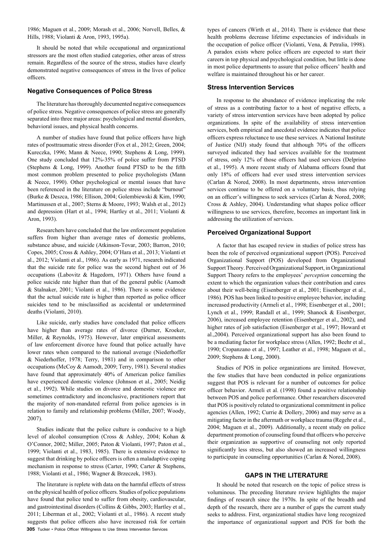1986; Maguen et al., 2009; Morash et al., 2006; Norvell, Belles, & Hills, 1988; Violanti & Aron, 1993, 1995a).

It should be noted that while occupational and organizational stressors are the most often studied categories, other areas of stress remain. Regardless of the source of the stress, studies have clearly demonstrated negative consequences of stress in the lives of police officers.

#### **Negative Consequences of Police Stress**

The literature has thoroughly documented negative consequences of police stress. Negative consequences of police stress are generally separated into three major areas: psychological and mental disorders, behavioral issues, and physical health concerns.

A number of studies have found that police officers have high rates of posttraumatic stress disorder (Fox et al., 2012; Green, 2004; Kureczka, 1996; Mann & Neece, 1990; Stephens & Long, 1999). One study concluded that 12%-35% of police suffer from PTSD (Stephens & Long, 1999). Another found PTSD to be the fifth most common problem presented to police psychologists (Mann & Neece, 1990). Other psychological or mental issues that have been referenced in the literature on police stress include "burnout" (Burke & Deszca, 1986; Ellison, 2004; Golembiewski & Kim, 1990; Martinussen et al., 2007; Sterns & Moore, 1993; Walsh et al., 2012) and depression (Hart et al., 1994; Hartley et al., 2011; Violanti & Aron, 1993).

Researchers have concluded that the law enforcement population suffers from higher than average rates of domestic problems, substance abuse, and suicide (Atkinson-Tovar, 2003; Barron, 2010; Copes, 2005; Cross & Ashley, 2004; O'Hara et al., 2013; Violanti et al., 2012; Violanti et al., 1986). As early as 1971, research indicated that the suicide rate for police was the second highest out of 36 occupations (Labovitz & Hagedorn, 1971). Others have found a police suicide rate higher than that of the general public (Aamodt & Stalnaker, 2001; Violanti et al., 1986). There is some evidence that the actual suicide rate is higher than reported as police officer suicides tend to be misclassified as accidental or undetermined deaths (Violanti, 2010).

Like suicide, early studies have concluded that police officers have higher than average rates of divorce (Durner, Kroeker, Miller, & Reynolds, 1975). However, later empirical assessments of law enforcement divorce have found that police actually have lower rates when compared to the national average (Niederhoffer & Niederhoffer, 1978; Terry, 1981) and in comparison to other occupations (McCoy & Aamodt, 2009; Terry, 1981). Several studies have found that approximately 40% of American police families have experienced domestic violence (Johnson et al., 2005; Neidig et al., 1992). While studies on divorce and domestic violence are sometimes contradictory and inconclusive, practitioners report that the majority of non-mandated referral from police agencies is in relation to family and relationship problems (Miller, 2007; Woody, 2007).

Studies indicate that the police culture is conducive to a high level of alcohol consumption (Cross & Ashley, 2004; Kohan & O'Connor, 2002; Miller, 2005; Paton & Violanti, 1997; Paton et al., 1999; Violanti et al., 1983, 1985). There is extensive evidence to suggest that drinking by police officers is often a maladaptive coping mechanism in response to stress (Carter, 1990; Carter & Stephens, 1988; Violanti et al., 1986; Wagner & Brzeczek, 1983).

**305** Tucker • Police Officer Willingness to Use Stress Intervention Services The literature is replete with data on the harmful effects of stress on the physical health of police officers. Studies of police populations have found that police tend to suffer from obesity, cardiovascular, and gastrointestinal disorders (Collins & Gibbs, 2003; Hartley et al., 2011; Liberman et al., 2002; Violanti et al., 1986). A recent study suggests that police officers also have increased risk for certain

types of cancers (Wirth et al., 2014). There is evidence that these health problems decrease lifetime expectancies of individuals in the occupation of police officer (Violanti, Vena, & Petralia, 1998). A paradox exists where police officers are expected to start their careers in top physical and psychological condition, but little is done in most police departments to assure that police officers' health and welfare is maintained throughout his or her career.

#### **Stress Intervention Services**

In response to the abundance of evidence implicating the role of stress as a contributing factor to a host of negative effects, a variety of stress intervention services have been adopted by police organizations. In spite of the availability of stress intervention services, both empirical and anecdotal evidence indicates that police officers express reluctance to use these services. A National Institute of Justice (NIJ) study found that although 70% of the officers surveyed indicated they had services available for the treatment of stress, only 12% of those officers had used services (Delprino et al., 1995). A more recent study of Alabama officers found that only 18% of officers had ever used stress intervention services (Carlan & Nored, 2008). In most departments, stress intervention services continue to be offered on a voluntary basis, thus relying on an officer's willingness to seek services (Carlan & Nored, 2008; Cross & Ashley, 2004). Understanding what shapes police officer willingness to use services, therefore, becomes an important link in addressing the utilization of services.

#### **Perceived Organizational Support**

A factor that has escaped review in studies of police stress has been the role of perceived organizational support (POS). Perceived Organizational Support (POS) developed from Organizational Support Theory. Perceived Organizational Support, in Organizational Support Theory refers to the employees' *perception* concerning the extent to which the organization values their contribution and cares about their well-being (Eisenberger et al., 2001; Eisenberger et al., 1986). POS has been linked to positive employee behavior, including increased productivity (Armeli et al., 1998; Eisenberger et al., 2001; Lynch et al., 1999; Randall et al., 1999; Shanock & Eisenberger, 2006), increased employee retention (Eisenberger et al., 2002), and higher rates of job satisfaction (Eisenberger et al., 1997; Howard et al.,2004). Perceived organizational support has also been found to be a mediating factor for workplace stress (Allen, 1992; Beehr et al., 1990; Cropanzano et al., 1997; Leather et al., 1998; Maguen et al., 2009; Stephens & Long, 2000).

Studies of POS in police organizations are limited. However, the few studies that have been conducted in police organizations suggest that POS is relevant for a number of outcomes for police officer behavior. Armeli et al. (1998) found a positive relationship between POS and police performance. Other researchers discovered that POS is positively related to organizational commitment in police agencies (Allen, 1992; Currie & Dollery, 2006) and may serve as a mitigating factor in the aftermath or workplace trauma (Regehr et al., 2004; Maguen et al., 2009). Additionally, a recent study on police department promotion of counseling found that officers who perceive their organization as supportive of counseling not only reported significantly less stress, but also showed an increased willingness to participate in counseling opportunities (Carlan & Nored, 2008).

#### **GAPS IN THE LITERATURE**

It should be noted that research on the topic of police stress is voluminous. The preceding literature review highlights the major findings of research since the 1970s. In spite of the breadth and depth of the research, there are a number of gaps the current study seeks to address. First, organizational studies have long recognized the importance of organizational support and POS for both the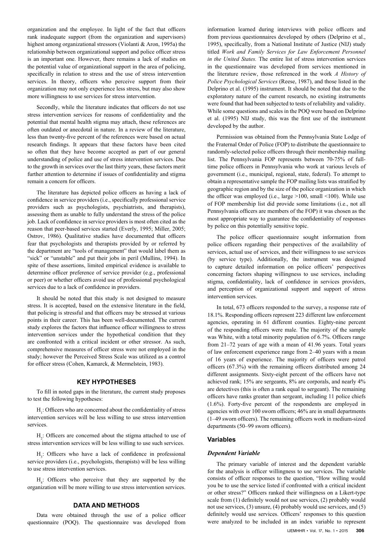organization and the employee. In light of the fact that officers rank inadequate support (from the organization and supervisors) highest among organizational stressors (Violanti & Aron, 1995a) the relationship between organizational support and police officer stress is an important one. However, there remains a lack of studies on the potential value of organizational support in the area of policing, specifically in relation to stress and the use of stress intervention services. In theory, officers who perceive support from their organization may not only experience less stress, but may also show more willingness to use services for stress intervention.

Secondly, while the literature indicates that officers do not use stress intervention services for reasons of confidentiality and the potential that mental health stigma may attach, these references are often outdated or anecdotal in nature. In a review of the literature, less than twenty-five percent of the references were based on actual research findings. It appears that these factors have been cited so often that they have become accepted as part of our general understanding of police and use of stress intervention services. Due to the growth in services over the last thirty years, these factors merit further attention to determine if issues of confidentiality and stigma remain a concern for officers.

The literature has depicted police officers as having a lack of confidence in service providers (i.e., specifically professional service providers such as psychologists, psychiatrists, and therapists), assessing them as unable to fully understand the stress of the police job. Lack of confidence in service providers is most often cited as the reason that peer-based services started (Everly, 1995; Miller, 2005; Ostrov, 1986). Qualitative studies have documented that officers fear that psychologists and therapists provided by or referred by the department are "tools of management" that would label them as "sick" or "unstable" and put their jobs in peril (Mullins, 1994). In spite of these assertions, limited empirical evidence is available to determine officer preference of service provider (e.g., professional or peer) or whether officers avoid use of professional psychological services due to a lack of confidence in providers.

It should be noted that this study is not designed to measure stress. It is accepted, based on the extensive literature in the field, that policing is stressful and that officers may be stressed at various points in their career. This has been well-documented. The current study explores the factors that influence officer willingness to stress intervention services under the hypothetical condition that they are confronted with a critical incident or other stressor. As such, comprehensive measures of officer stress were not employed in the study; however the Perceived Stress Scale was utilized as a control for officer stress (Cohen, Kamarck, & Mermelstein, 1983).

#### **KEY HYPOTHESES**

To fill in noted gaps in the literature, the current study proposes to test the following hypotheses:

 $H<sub>1</sub>$ : Officers who are concerned about the confidentiality of stress intervention services will be less willing to use stress intervention services.

 $H_2$ : Officers are concerned about the stigma attached to use of stress intervention services will be less willing to use such services.

 $H_3$ : Officers who have a lack of confidence in professional service providers (i.e., psychologists, therapists) will be less willing to use stress intervention services.

 $H_4$ : Officers who perceive that they are supported by the organization will be more willing to use stress intervention services.

#### **DATA AND METHODS**

Data were obtained through the use of a police officer questionnaire (POQ). The questionnaire was developed from

information learned during interviews with police officers and from previous questionnaires developed by others (Delprino et al., 1995), specifically, from a National Institute of Justice (NIJ) study titled *Work and Family Services for Law Enforcement Personnel in the United States.* The entire list of stress intervention services in the questionnaire was developed from services mentioned in the literature review, those referenced in the work *A History of Police Psychological Services* (Reese, 1987), and those listed in the Delprino et al. (1995) instrument. It should be noted that due to the exploratory nature of the current research, no existing instruments were found that had been subjected to tests of reliability and validity. While some questions and scales in the POQ were based on Delprino et al. (1995) NIJ study, this was the first use of the instrument developed by the author.

Permission was obtained from the Pennsylvania State Lodge of the Fraternal Order of Police (FOP) to distribute the questionnaire to randomly-selected police officers through their membership mailing list. The Pennsylvania FOP represents between 70-75% of fulltime police officers in Pennsylvania who work at various levels of government (i.e., municipal, regional, state, federal). To attempt to obtain a representative sample the FOP mailing lists was stratified by geographic region and by the size of the police organization in which the officer was employed (i.e., large  $>100$ , small  $<100$ ). While use of FOP membership list did provide some limitations (i.e., not all Pennsylvania officers are members of the FOP) it was chosen as the most appropriate way to guarantee the confidentiality of responses by police on this potentially sensitive topic.

The police officer questionnaire sought information from police officers regarding their perspectives of the availability of services, actual use of services, and their willingness to use services (by service type). Additionally, the instrument was designed to capture detailed information on police officers' perspectives concerning factors shaping willingness to use services, including stigma, confidentiality, lack of confidence in services providers, and perception of organizational support and support of stress intervention services.

In total, 673 officers responded to the survey, a response rate of 18.1%. Responding officers represent 223 different law enforcement agencies, operating in 61 different counties. Eighty-nine percent of the responding officers were male. The majority of the sample was White, with a total minority population of 6.7%. Officers range from 21–72 years of age with a mean of 41.96 years. Total years of law enforcement experience range from 2–40 years with a mean of 16 years of experience. The majority of officers were patrol officers (67.3%) with the remaining officers distributed among 24 different assignments. Sixty-eight percent of the officers have not achieved rank; 15% are sergeants, 8% are corporals, and nearly 4% are detectives (this is often a rank equal to sergeant). The remaining officers have ranks greater than sergeant, including 11 police chiefs (1.6%). Forty-five percent of the respondents are employed in agencies with over 100 sworn officers; 46% are in small departments (1–49 sworn officers). The remaining officers work in medium-sized departments (50–99 sworn officers).

#### **Variables**

#### *Dependent Variable*

The primary variable of interest and the dependent variable for the analysis is officer willingness to use services. The variable consists of officer responses to the question, "How willing would you be to use the service listed if confronted with a critical incident or other stress?" Officers ranked their willingness on a Likert-type scale from (1) definitely would not use services, (2) probably would not use services, (3) unsure, (4) probably would use services, and (5) definitely would use services. Officers' responses to this question were analyzed to be included in an index variable to represent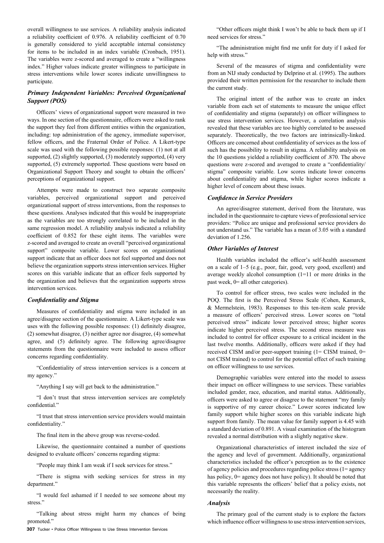overall willingness to use services. A reliability analysis indicated a reliability coefficient of 0.976. A reliability coefficient of 0.70 is generally considered to yield acceptable internal consistency for items to be included in an index variable (Cronbach, 1951). The variables were z-scored and averaged to create a "willingness index." Higher values indicate greater willingness to participate in stress interventions while lower scores indicate unwillingness to participate.

#### *Primary Independent Variables: Perceived Organizational Support (POS)*

Officers' views of organizational support were measured in two ways. In one section of the questionnaire, officers were asked to rank the support they feel from different entities within the organization, including: top administration of the agency, immediate supervisor, fellow officers, and the Fraternal Order of Police. A Likert-type scale was used with the following possible responses: (1) not at all supported, (2) slightly supported, (3) moderately supported, (4) very supported, (5) extremely supported. These questions were based on Organizational Support Theory and sought to obtain the officers' perceptions of organizational support.

Attempts were made to construct two separate composite variables, perceived organizational support and perceived organizational support of stress interventions, from the responses to these questions. Analyses indicated that this would be inappropriate as the variables are too strongly correlated to be included in the same regression model. A reliability analysis indicated a reliability coefficient of 0.852 for these eight items. The variables were z-scored and averaged to create an overall "perceived organizational support" composite variable. Lower scores on organizational support indicate that an officer does not feel supported and does not believe the organization supports stress intervention services. Higher scores on this variable indicate that an officer feels supported by the organization and believes that the organization supports stress intervention services.

#### *Confidentiality and Stigma*

Measures of confidentiality and stigma were included in an agree/disagree section of the questionnaire. A Likert-type scale was uses with the following possible responses: (1) definitely disagree, (2) somewhat disagree, (3) neither agree nor disagree, (4) somewhat agree, and (5) definitely agree. The following agree/disagree statements from the questionnaire were included to assess officer concerns regarding confidentiality.

"Confidentiality of stress intervention services is a concern at my agency."

"Anything I say will get back to the administration."

"I don't trust that stress intervention services are completely confidential."

"I trust that stress intervention service providers would maintain confidentiality."

The final item in the above group was reverse-coded.

Likewise, the questionnaire contained a number of questions designed to evaluate officers' concerns regarding stigma:

"People may think I am weak if I seek services for stress."

"There is stigma with seeking services for stress in my department."

"I would feel ashamed if I needed to see someone about my stress."

"Talking about stress might harm my chances of being promoted."

**307** Tucker • Police Officer Willingness to Use Stress Intervention Services

"Other officers might think I won't be able to back them up if I need services for stress."

"The administration might find me unfit for duty if I asked for help with stress."

Several of the measures of stigma and confidentiality were from an NIJ study conducted by Delprino et al. (1995). The authors provided their written permission for the researcher to include them the current study.

The original intent of the author was to create an index variable from each set of statements to measure the unique effect of confidentiality and stigma (separately) on officer willingness to use stress intervention services. However, a correlation analysis revealed that these variables are too highly correlated to be assessed separately. Theoretically, the two factors are intrinsically-linked. Officers are concerned about confidentiality of services as the loss of such has the possibility to result in stigma. A reliability analysis on the 10 questions yielded a reliability coefficient of .870. The above questions were z-scored and averaged to create a "confidentiality/ stigma" composite variable. Low scores indicate lower concerns about confidentiality and stigma, while higher scores indicate a higher level of concern about these issues.

#### *Confidence in Service Providers*

An agree/disagree statement, derived from the literature, was included in the questionnaire to capture views of professional service providers: "Police are unique and professional service providers do not understand us." The variable has a mean of 3.05 with a standard deviation of 1.256.

#### *Other Variables of Interest*

Health variables included the officer's self-health assessment on a scale of 1–5 (e.g., poor, fair, good, very good, excellent) and average weekly alcohol consumption (1=11 or more drinks in the past week, 0= all other categories).

To control for officer stress, two scales were included in the POQ. The first is the Perceived Stress Scale (Cohen, Kamarck, & Mermelstein, 1983). Responses to this ten-item scale provide a measure of officers' perceived stress. Lower scores on "total perceived stress" indicate lower perceived stress; higher scores indicate higher perceived stress. The second stress measure was included to control for officer exposure to a critical incident in the last twelve months. Additionally, officers were asked if they had received CISM and/or peer-support training (1= CISM trained, 0= not CISM trained) to control for the potential effect of such training on officer willingness to use services.

Demographic variables were entered into the model to assess their impact on officer willingness to use services. These variables included gender, race, education, and marital status. Additionally, officers were asked to agree or disagree to the statement "my family is supportive of my career choice." Lower scores indicated low family support while higher scores on this variable indicate high support from family. The mean value for family support is 4.45 with a standard deviation of 0.891. A visual examination of the histogram revealed a normal distribution with a slightly negative skew.

Organizational characteristics of interest included the size of the agency and level of government. Additionally, organizational characteristics included the officer's perception as to the existence of agency policies and procedures regarding police stress (1= agency has policy,  $0=$  agency does not have policy). It should be noted that this variable represents the officers' belief that a policy exists, not necessarily the reality.

#### *Analysis*

The primary goal of the current study is to explore the factors which influence officer willingness to use stress intervention services,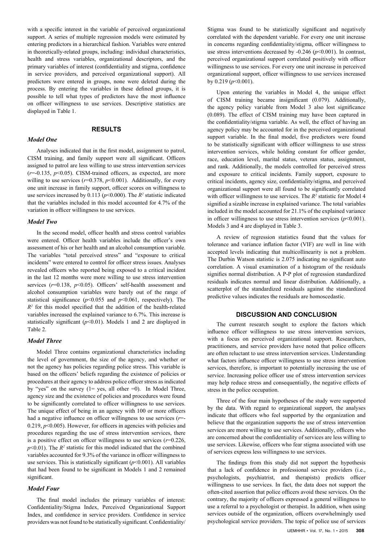with a specific interest in the variable of perceived organizational support. A series of multiple regression models were estimated by entering predictors in a hierarchical fashion. Variables were entered in theoretically-related groups, including: individual characteristics, health and stress variables, organizational descriptors, and the primary variables of interest (confidentiality and stigma, confidence in service providers, and perceived organizational support). All predictors were entered in groups, none were deleted during the process. By entering the variables in these defined groups, it is possible to tell what types of predictors have the most influence on officer willingness to use services. Descriptive statistics are displayed in Table 1.

#### **RESULTS**

#### *Model One*

Analyses indicated that in the first model, assignment to patrol, CISM training, and family support were all significant. Officers assigned to patrol are less willing to use stress intervention services  $(r=0.135, p<0.05)$ . CISM-trained officers, as expected, are more willing to use services  $(r=0.378, p<0.001)$ . Additionally, for every one unit increase in family support, officer scores on willingness to use services increased by  $0.113$  ( $p<0.000$ ). The  $R^2$  statistic indicated that the variables included in this model accounted for 4.7% of the variation in officer willingness to use services.

#### *Model Two*

In the second model, officer health and stress control variables were entered. Officer health variables include the officer's own assessment of his or her health and an alcohol consumption variable. The variables "total perceived stress" and "exposure to critical incidents" were entered to control for officer stress issues. Analyses revealed officers who reported being exposed to a critical incident in the last 12 months were more willing to use stress intervention services ( $r=0.138$ ,  $p<0.05$ ). Officers' self-health assessment and alcohol consumption variables were barely out of the range of statistical significance ( $p$ <0.055 and  $p$ <0.061, respectively). The  $R<sup>2</sup>$  for this model specified that the addition of the health-related variables increased the explained variance to 6.7%. This increase is statistically significant  $(p<0.01)$ . Models 1 and 2 are displayed in Table 2.

#### *Model Three*

Model Three contains organizational characteristics including the level of government, the size of the agency, and whether or not the agency has policies regarding police stress. This variable is based on the officers' beliefs regarding the existence of policies or procedures at their agency to address police officer stress as indicated by "yes" on the survey  $(1=$  yes, all other  $=0$ ). In Model Three, agency size and the existence of policies and procedures were found to be significantly correlated to officer willingness to use services. The unique effect of being in an agency with 100 or more officers had a negative influence on officer willingness to use services (*r*=- 0.219,  $p$ <0.005). However, for officers in agencies with policies and procedures regarding the use of stress intervention services, there is a positive effect on officer willingness to use services  $(r=0.226,$  $p$ <0.01). The  $R^2$  statistic for this model indicated that the combined variables accounted for 9.3% of the variance in officer willingness to use services. This is statistically significant  $(p<0.001)$ . All variables that had been found to be significant in Models 1 and 2 remained significant.

#### *Model Four*

The final model includes the primary variables of interest: Confidentiality/Stigma Index, Perceived Organizational Support Index, and confidence in service providers. Confidence in service providers was not found to be statistically significant. Confidentiality/

Stigma was found to be statistically significant and negatively correlated with the dependent variable. For every one unit increase in concerns regarding confidentiality/stigma, officer willingness to use stress interventions decreased by -0.246 (*p*<0.001). In contrast, perceived organizational support correlated positively with officer willingness to use services. For every one unit increase in perceived organizational support, officer willingness to use services increased by 0.219 (*p*<0.001).

Upon entering the variables in Model 4, the unique effect of CISM training became insignificant (0.079). Additionally, the agency policy variable from Model 3 also lost significance (0.089). The effect of CISM training may have been captured in the confidentiality/stigma variable. As well, the effect of having an agency policy may be accounted for in the perceived organizational support variable. In the final model, five predictors were found to be statistically significant with officer willingness to use stress intervention services, while holding constant for officer gender, race, education level, marital status, veteran status, assignment, and rank. Additionally, the models controlled for perceived stress and exposure to critical incidents. Family support, exposure to critical incidents, agency size, confidentiality/stigma, and perceived organizational support were all found to be significantly correlated with officer willingness to use services. The  $R^2$  statistic for Model 4 signified a sizable increase in explained variance. The total variables included in the model accounted for 21.1% of the explained variance in officer willingness to use stress intervention services  $(p<0.001)$ . Models 3 and 4 are displayed in Table 3.

A review of regression statistics found that the values for tolerance and variance inflation factor (VIF) are well in line with accepted levels indicating that multicollinearity is not a problem. The Durbin Watson statistic is 2.075 indicating no significant auto correlation. A visual examination of a histogram of the residuals signifies normal distribution. A P-P plot of regression standardized residuals indicates normal and linear distribution. Additionally, a scatterplot of the standardized residuals against the standardized predictive values indicates the residuals are homoscedastic.

#### **DISCUSSION AND CONCLUSION**

The current research sought to explore the factors which influence officer willingness to use stress intervention services, with a focus on perceived organizational support. Researchers, practitioners, and service providers have noted that police officers are often reluctant to use stress intervention services. Understanding what factors influence officer willingness to use stress intervention services, therefore, is important to potentially increasing the use of service. Increasing police officer use of stress intervention services may help reduce stress and consequentially, the negative effects of stress in the police occupation.

Three of the four main hypotheses of the study were supported by the data. With regard to organizational support, the analyses indicate that officers who feel supported by the organization and believe that the organization supports the use of stress intervention services are more willing to use services. Additionally, officers who are concerned about the confidentiality of services are less willing to use services. Likewise, officers who fear stigma associated with use of services express less willingness to use services.

The findings from this study did not support the hypothesis that a lack of confidence in professional service providers (i.e., psychologists, psychiatrist, and therapists) predicts officer willingness to use services. In fact, the data does not support the often-cited assertion that police officers avoid these services. On the contrary, the majority of officers expressed a general willingness to use a referral to a psychologist or therapist. In addition, when using services outside of the organization, officers overwhelmingly used psychological service providers. The topic of police use of services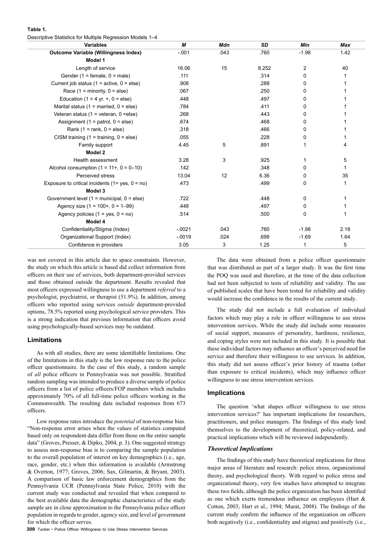| Table 1. |  |                                                           |  |
|----------|--|-----------------------------------------------------------|--|
|          |  | Descriptive Statistics for Multiple Regression Models 1-4 |  |

| <b>Variables</b>                                       | М        | <b>Mdn</b> | <b>SD</b> | Min     | <b>Max</b> |
|--------------------------------------------------------|----------|------------|-----------|---------|------------|
| <b>Outcome Variable (Willingness Index)</b>            | $-.001$  | .043       | .760      | $-1.98$ | 1.42       |
| Model 1                                                |          |            |           |         |            |
| Length of service                                      | 16.06    | 15         | 8.252     | 2       | 40         |
| Gender (1 = female, $0 =$ male)                        | .111     |            | .314      | 0       | 1          |
| Current job status ( $1 =$ active, $0 =$ else)         | .908     |            | .288      | 0       |            |
| Race $(1 = \text{minority}, 0 = \text{else})$          | .067     |            | .250      | 0       |            |
| Education (1 = 4 yr. $+$ , 0 = else)                   | .448     |            | .497      | 0       |            |
| Marital status (1 = married, $0 =$ else)               | .784     |            | .411      | 0       |            |
| Veteran status (1 = veteran, 0 = else)                 | .268     |            | .443      | 0       |            |
| Assignment (1 = patrol, $0 =$ else)                    | .674     |            | .468      | 0       |            |
| Rank $(1 = rank, 0 = else)$                            | .318     |            | .466      | 0       |            |
| CISM training $(1 = \text{training}, 0 = \text{else})$ | .055     |            | .228      | 0       |            |
| Family support                                         | 4.45     | 5          | .891      | 1       | 4          |
| Model 2                                                |          |            |           |         |            |
| Health assessment                                      | 3.28     | 3          | .925      | 1       | 5          |
| Alcohol consumption $(1 = 11 + 0 = 0 - 10)$            | .142     |            | .348      | 0       | 1          |
| Perceived stress                                       | 13.04    | 12         | 6.36      | 0       | 35         |
| Exposure to critical incidents $(1 = yes, 0 = no)$     | .473     |            | .499      | 0       | 1          |
| Model 3                                                |          |            |           |         |            |
| Government level $(1 =$ municipal, $0 =$ else)         | .722     |            | .448      | 0       | 1          |
| Agency size $(1 = 100 + 0 = 1 - 99)$                   | .448     |            | .497      | 0       | 1          |
| Agency policies $(1 = yes, 0 = no)$                    | .514     |            | .500      | 0       | 1          |
| Model 4                                                |          |            |           |         |            |
| Confidentiality/Stigma (Index)                         | $-0021$  | .043       | .760      | $-1.98$ | 2.18       |
| Organizational Support (Index)                         | $-0.019$ | .024       | .699      | $-1.69$ | 1.64       |
| Confidence in providers                                | 3.05     | 3          | 1.25      | 1       | 5          |

was not covered in this article due to space constraints. However, the study on which this article is based did collect information from officers on their use of services, both department-provided services and those obtained outside the department. Results revealed that most officers expressed willingness to use a department *referral* to a psychologist, psychiatrist, or therapist (51.9%). In addition, among officers who reported using services *outside* department-provided options, 78.5% reported using psychological service providers. This is a strong indication that previous information that officers avoid using psychologically-based services may be outdated.

#### **Limitations**

As with all studies, there are some identifiable limitations. One of the limitations in this study is the low response rate to the police officer questionnaire. In the case of this study, a random sample of *all* police officers in Pennsylvania was not possible. Stratified random sampling was intended to produce a diverse sample of police officers from a list of police officers/FOP members which includes approximately 70% of all full-time police officers working in the Commonwealth. The resulting data included responses from 673 officers.

Low response rates introduce the *potential* of non-response bias. "Non-response error arises when the values of statistics computed based only on respondent data differ from those on the entire sample data" (Groves, Presser, & Dipko, 2004, p. 3). One suggested strategy to assess non-response bias is to comparing the sample population to the overall population of interest on key demographics (i.e., age, race, gender, etc.) when this information is available (Armstrong & Overton, 1977; Groves, 2006; Sax, Gilmartin, & Bryant, 2003). A comparison of basic law enforcement demographics from the Pennsylvania UCR (Pennsylvania State Police, 2010) with the current study was conducted and revealed that when compared to the best available data the demographic characteristics of the study sample are in close approximation to the Pennsylvania police officer population in regards to gender, agency size, and level of government for which the officer serves.

**309** Tucker • Police Officer Willingness to Use Stress Intervention Services

The data were obtained from a police officer questionnaire that was distributed as part of a larger study. It was the first time the POQ was used and therefore, at the time of the data collection had not been subjected to tests of reliability and validity. The use of published scales that have been tested for reliability and validity would increase the confidence in the results of the current study.

The study did not include a full evaluation of individual factors which may play a role in officer willingness to use stress intervention services. While the study did include some measures of social support, measures of personality, hardiness, resilience, and coping styles were not included in this study. It is possible that these individual factors may influence an officer's perceived need for service and therefore their willingness to use services. In addition, this study did not assess officer's prior history of trauma (other than exposure to critical incidents), which may influence officer willingness to use stress intervention services.

#### **Implications**

The question 'what shapes officer willingness to use stress intervention services?' has important implications for researchers, practitioners, and police managers. The findings of this study lend themselves to the development of theoretical, policy-related, and practical implications which will be reviewed independently.

#### *Theoretical Implications*

The findings of this study have theoretical implications for three major areas of literature and research: police stress, organizational theory, and psychological theory. With regard to police stress and organizational theory, very few studies have attempted to integrate these two fields, although the police organization has been identified as one which exerts tremendous influence on employees (Hart & Cotton, 2003; Hart et al., 1994; Murat, 2008). The findings of the current study confirm the influence of the organization on officers both negatively (i.e., confidentiality and stigma) and positively (i.e.,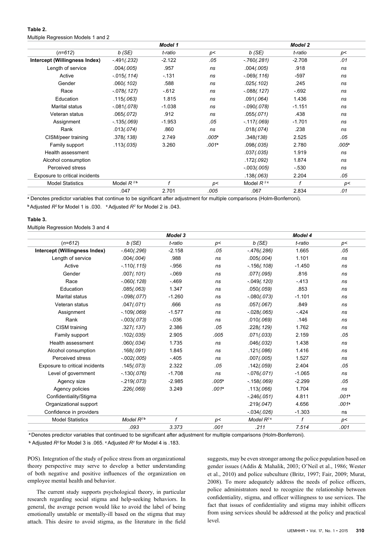#### **Table 2.**  Multiple Regression Models 1 and 2

|                                |                | <b>Model 1</b> |                   |                | <b>Model 2</b> |                   |
|--------------------------------|----------------|----------------|-------------------|----------------|----------------|-------------------|
| $(n=612)$                      | b(SE)          | t-ratio        | p<                | $b$ (SE)       | t-ratio        | p<                |
| Intercept (Willingness Index)  | $-491(.232)$   | $-2.122$       | .05               | $-760(.281)$   | $-2.708$       | .01               |
| Length of service              | .004(.005)     | .957           | ns                | .004(.005)     | .918           | ns                |
| Active                         | $-0.15(.114)$  | $-131$         | ns                | $-069(0116)$   | $-597$         | ns                |
| Gender                         | .060(.102)     | .588           | ns                | .025(.102)     | .245           | ns                |
| Race                           | $-078(.127)$   | $-612$         | ns                | $-088(.127)$   | $-692$         | ns                |
| Education                      | .115(.063)     | 1.815          | ns                | .091(.064)     | 1.436          | ns                |
| Marital status                 | $-.081(.078)$  | $-1.038$       | ns                | $-090(.078)$   | $-1.151$       | ns                |
| Veteran status                 | .065(.072)     | .912           | ns                | .055(.071)     | .438           | ns                |
| Assignment                     | $-135(.069)$   | $-1.953$       | .05               | $-117(.069)$   | $-1.701$       | ns                |
| Rank                           | .013(.074)     | .860           | ns                | .018(.074)     | .238           | ns                |
| CISM/peer training             | .378(.138)     | 2.749          | .005 <sup>a</sup> | .348(138)      | 2.525          | .05               |
| Family support                 | .113(.035)     | 3.260          | .001a             | .098(.035)     | 2.780          | .005 <sup>a</sup> |
| Health assessment              |                |                |                   | .037(.035)     | 1.919          | ns                |
| Alcohol consumption            |                |                |                   | .172(.092)     | 1.874          | ns                |
| Perceived stress               |                |                |                   | $-.003(.005)$  | $-530$         | ns                |
| Exposure to critical incidents |                |                |                   | .138(.063)     | 2.204          | .05               |
| <b>Model Statistics</b>        | Model $R^{2b}$ | f              | p<                | Model $R^{2c}$ | f              | p<                |
|                                | .047           | 2.701          | .005              | .067           | 2.834          | .01               |

**a** Denotes predictor variables that continue to be significant after adjustment for multiple comparisons (Holm-Bonferroni). **<sup>b</sup>**Adjusted *R2* for Model 1 is .030. **<sup>c</sup>**Adjusted *R2* for Model 2 is .043.

#### **Table 3.**

Multiple Regression Models 3 and 4

|                                |                | Model 3     |                   |                          | <b>Model 4</b> |                   |
|--------------------------------|----------------|-------------|-------------------|--------------------------|----------------|-------------------|
| $(n=612)$                      | $b$ (SE)       | t-ratio     | p<                | $b$ (SE)                 | t-ratio        | p<                |
| Intercept (Willingness Index)  | $-640(.296)$   | $-2.158$    | .05               | $-476(.286)$             | 1.665          | .05               |
| Length of service              | .004(.004)     | .988        | ns                | .005(.004)               | 1.101          | ns                |
| Active                         | $-110(.115)$   | $-956$      | ns                | $-156(.108)$             | $-1.450$       | ns                |
| Gender                         | .007(.101)     | $-069$      | ns                | .077(.095)               | .816           | ns                |
| Race                           | $-.060(.128)$  | $-469$      | ns                | $-0.049(0.120)$          | $-413$         | ns                |
| Education                      | .085(.063)     | 1.347       | ns                | .050(.059)               | .853           | ns                |
| <b>Marital status</b>          | $-098(.077)$   | $-1.260$    | ns                | $-080(.073)$             | $-1.101$       | ns                |
| Veteran status                 | .047(.071)     | .666        | ns                | .057(.067)               | .849           | ns                |
| Assignment                     | $-109(.069)$   | $-1.577$    | ns                | $-028(.065)$             | $-424$         | ns                |
| Rank                           | $-003(.073)$   | $-0.036$    | ns                | .010(.069)               | .146           | ns                |
| CISM training                  | .327(.137)     | 2.386       | .05               | .228(.129)               | 1.762          | ns                |
| Family support                 | .102(.035)     | 2.905       | .005              | .071(.033)               | 2.159          | .05               |
| Health assessment              | .060(.034)     | 1.735       | ns                | .046(.032)               | 1.438          | ns                |
| Alcohol consumption            | .168(.091)     | 1.845       | ns                | .121(.086)               | 1.416          | ns                |
| Perceived stress               | $-002(.005)$   | $-405$      | ns                | .007(.005)               | 1.527          | ns                |
| Exposure to critical incidents | .145(.073)     | 2.322       | .05               | .142(.059)               | 2.404          | .05               |
| Level of government            | $-130(.076)$   | $-1.708$    | ns                | $-076(.071)$             | $-1.065$       | ns                |
| Agency size                    | $-219(.073)$   | $-2.985$    | .005 <sup>a</sup> | $-158(.069)$             | $-2.299$       | .05               |
| Agency policies                | .226(.069)     | 3.249       | .001 <sup>a</sup> | .113(.066)               | 1.704          | ns                |
| Confidentiality/Stigma         |                |             |                   | $-246(.051)$             | 4.811          | .001 <sup>a</sup> |
| Organizational support         |                |             |                   | .219(.047)               | 4.656          | .001 <sup>a</sup> |
| Confidence in providers        |                |             |                   | $-0.34(0.026)$           | $-1.303$       | ns                |
| <b>Model Statistics</b>        | Model $R^{2b}$ | $\mathbf f$ | p<                | Model $R^2$ <sup>c</sup> | f              | p<                |
|                                | .093           | 3.373       | .001              | .211                     | 7.514          | .001              |

**<sup>a</sup>**Denotes predictor variables that continued to be significant after adjustment for multiple comparisons (Holm-Bonferroni).

**<sup>b</sup>** Adjusted *R2* for Model 3 is .065. **<sup>c</sup>**Adjusted *R2* for Model 4 is .183.

POS). Integration of the study of police stress from an organizational theory perspective may serve to develop a better understanding of both negative and positive influences of the organization on employee mental health and behavior.

The current study supports psychological theory, in particular research regarding social stigma and help-seeking behaviors. In general, the average person would like to avoid the label of being emotionally unstable or mentally-ill based on the stigma that may attach. This desire to avoid stigma, as the literature in the field

suggests, may be even stronger among the police population based on gender issues (Addis & Mahalik, 2003; O'Neil et al., 1986; Wester et al., 2010) and police subculture (Britz, 1997; Fair, 2009; Murat, 2008). To more adequately address the needs of police officers, police administrators need to recognize the relationship between confidentiality, stigma, and officer willingness to use services. The fact that issues of confidentiality and stigma may inhibit officers from using services should be addressed at the policy and practical level.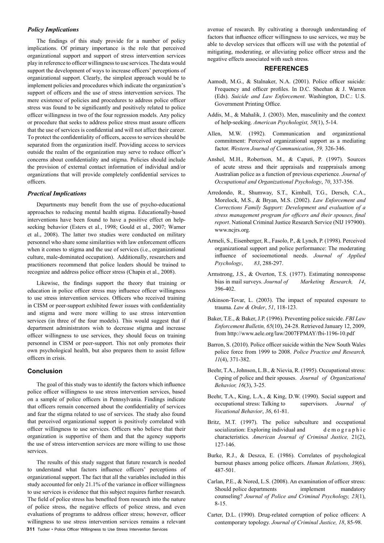#### *Policy Implications*

The findings of this study provide for a number of policy implications. Of primary importance is the role that perceived organizational support and support of stress intervention services play in reference to officer willingness to use services. The data would support the development of ways to increase officers' perceptions of organizational support. Clearly, the simplest approach would be to implement policies and procedures which indicate the organization's support of officers and the use of stress intervention services. The mere existence of policies and procedures to address police officer stress was found to be significantly and positively related to police officer willingness in two of the four regression models. Any policy or procedure that seeks to address police stress must assure officers that the use of services is confidential and will not affect their career. To protect the confidentiality of officers, access to services should be separated from the organization itself. Providing access to services outside the realm of the organization may serve to reduce officer's concerns about confidentiality and stigma. Policies should include the provision of external contact information of individual and/or organizations that will provide completely confidential services to officers.

#### *Practical Implications*

Departments may benefit from the use of psycho-educational approaches to reducing mental health stigma. Educationally-based interventions have been found to have a positive effect on helpseeking behavior (Esters et al., 1998; Gould et al., 2007; Warner et al., 2008). The latter two studies were conducted on military personnel who share some similarities with law enforcement officers when it comes to stigma and the use of services (i.e., organizational culture, male-dominated occupation). Additionally, researchers and practitioners recommend that police leaders should be trained to recognize and address police officer stress (Chapin et al., 2008).

Likewise, the findings support the theory that training or education in police officer stress may influence officer willingness to use stress intervention services. Officers who received training in CISM or peer-support exhibited fewer issues with confidentiality and stigma and were more willing to use stress intervention services (in three of the four models). This would suggest that if department administrators wish to decrease stigma and increase officer willingness to use services, they should focus on training personnel in CISM or peer-support. This not only promotes their own psychological health, but also prepares them to assist fellow officers in crisis.

#### **Conclusion**

The goal of this study was to identify the factors which influence police officer willingness to use stress intervention services, based on a sample of police officers in Pennsylvania. Findings indicate that officers remain concerned about the confidentiality of services and fear the stigma related to use of services. The study also found that perceived organizational support is positively correlated with officer willingness to use services. Officers who believe that their organization is supportive of them and that the agency supports the use of stress intervention services are more willing to use those services.

**311** Tucker • Police Officer Willingness to Use Stress Intervention Services The results of this study suggest that future research is needed to understand what factors influence officers' perceptions of organizational support. The fact that all the variables included in this study accounted for only 21.1% of the variance in officer willingness to use services is evidence that this subject requires further research. The field of police stress has benefited from research into the nature of police stress, the negative effects of police stress, and even evaluations of programs to address officer stress; however, officer willingness to use stress intervention services remains a relevant

avenue of research. By cultivating a thorough understanding of factors that influence officer willingness to use services, we may be able to develop services that officers will use with the potential of mitigating, moderating, or alleviating police officer stress and the negative effects associated with such stress.

#### **REFERENCES**

- Aamodt, M.G., & Stalnaker, N.A. (2001). Police officer suicide: Frequency and officer profiles. In D.C. Sheehan & J. Warren (Eds). *Suicide and Law Enforcement*. Washington, D.C.: U.S. Government Printing Office.
- Addis, M., & Mahalik, J. (2003). Men, masculinity and the context of help-seeking. *American Psychologist, 58*(1), 5-14.
- Allen, M.W. (1992). Communication and organizational commitment: Perceived organizational support as a mediating factor. *Western Journal of Communication*, *59,* 326-346.
- Anshel, M.H., Robertson, M., & Caputi, P. (1997). Sources of acute stress and their appraisals and reappraisals among Australian police as a function of previous experience. *Journal of Occupational and Organizational Psychology*, *70*, 337-356.
- Arredondo, R., Shumway, S.T., Kimball, T.G., Dersch, C.A., Morelock, M.S., & Bryan, M.S. (2002). *Law Enforcement and Corrections Family Support: Development and evaluation of a stress management program for officers and their spouses, final report*. National Criminal Justice Research Service (NIJ 197900). www.ncjrs.org.
- Armeli, S., Eisenberger, R., Fasolo, P., & Lynch, P. (1998). Perceived organizational support and police performance: The moderating influence of socioemotional needs. *Journal of Applied Psychology*, *83*, 288-297.
- Armstrong, J.S., & Overton, T.S. (1977). Estimating nonresponse bias in mail surveys. *Journal of Marketing Research, 14*, 396-402.
- Atkinson-Tovar, L. (2003). The impact of repeated exposure to trauma. *Law & Order*, *51*, 118-123.
- Baker, T.E., & Baker, J.P. (1996). Preventing police suicide. *FBI Law Enforcement Bulletin, 65*(10), 24-28. Retrieved January 12, 2009, from http://www.aele.org/law/2007FPMAY/fbi-1196-10.pdf
- Barron, S. (2010). Police officer suicide within the New South Wales police force from 1999 to 2008. *Police Practice and Research, 11*(4), 371-382.
- Beehr, T.A., Johnson, L.B., & Nievia, R. (1995). Occupational stress: Coping of police and their spouses. *Journal of Organizational Behavior, 16*(3), 3-25.
- Beehr, T.A., King, L.A., & King, D.W. (1990). Social support and occupational stress: Talking to supervisors. *Journal of Vocational Behavior*, *36*, 61-81.
- Britz, M.T. (1997). The police subculture and occupational socialization: Exploring individual and demographic characteristics. *American Journal of Criminal Justice,* 21(2), 127-146.
- Burke, R.J., & Deszca, E. (1986). Correlates of psychological burnout phases among police officers. *Human Relations, 39*(6), 487-501.
- Carlan, P.E., & Nored, L.S. (2008). An examination of officer stress: Should police departments implement mandatory counseling? *Journal of Police and Criminal Psychology, 23*(1), 8-15.
- Carter, D.L. (1990). Drug-related corruption of police officers: A contemporary topology. *Journal of Criminal Justice, 18*, 85-98.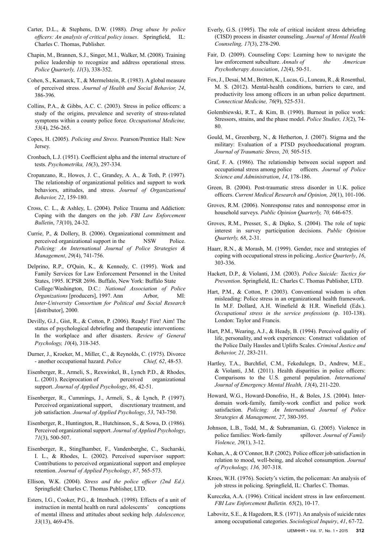- Carter, D.L., & Stephens, D.W. (1988). *Drug abuse by police officers: An analysis of critical policy issues*. Springfield, IL: Charles C. Thomas, Publisher.
- Chapin, M., Brannen, S.J., Singer, M.I., Walker, M. (2008). Training police leadership to recognize and address operational stress. *Police Quarterly, 11*(3), 338-352.
- Cohen, S., Kamarck, T., & Mermelstein, R. (1983). A global measure of perceived stress. *Journal of Health and Social Behavior, 24*, 386-396.
- Collins, P.A., & Gibbs, A.C. C. (2003). Stress in police officers: a study of the origins, prevalence and severity of stress-related symptoms within a county police force*. Occupational Medicine, 53*(4), 256-265.
- Copes, H. (2005). *Policing and Stress*. Pearson/Prentice Hall: New **Jersey.**
- Cronbach, L.J. (1951). Coefficient alpha and the internal structure of tests. *Psychometrika, 16*(3), 297-334.
- Cropanzano, R., Howes, J. C., Grandey, A. A., & Toth, P. (1997). The relationship of organizational politics and support to work behaviors, attitudes, and stress. *Journal of Organizational Behavior, 22*, 159-180.
- Cross, C. L., & Ashley, L. (2004). Police Trauma and Addiction: Coping with the dangers on the job. *FBI Law Enforcement Bulletin*, *73*(10), 24-32.
- Currie, P., & Dollery, B. (2006). Organizational commitment and perceived organizational support in the NSW Police. *Policing: An International Journal of Police Strategies & Management*, *29*(4), 741-756.
- Delprino, R.P., O'Quin, K., & Kennedy, C. (1995). Work and Family Services for Law Enforcement Personnel in the United States, 1995. ICPSR 2696. Buffalo, New York: Buffalo State College/Washington, D.C.: *National Association of Police Organizations* [producers], 1997. Ann Arbor, MI: *Inter-University Consortium for Political and Social Research* [distributor], 2000.
- Devilly, G.J., Gist, R., & Cotton, P. (2006). Ready! Fire! Aim! The status of psychological debriefing and therapeutic interventions: In the workplace and after disasters. *Review of General Psychology, 10*(4), 318-345.
- Durner, J., Kroeker, M., Miller, C., & Reynolds, C. (1975). Divorce - another occupational hazard. *Police Chief, 62*, 48-53.
- Eisenberger, R., Armeli, S., Rexwinkel, B., Lynch P.D., & Rhodes, L. (2001). Reciprocation of perceived organizational support. *Journal of Applied Psychology*, *86*, 42-51.
- Eisenberger, R., Cummings, J., Armeli, S., & Lynch, P. (1997). Perceived organizational support, discretionary treatment, and job satisfaction. *Journal of Applied Psychology*, *53*, 743-750.
- Eisenberger, R., Huntington, R., Hutchinson, S., & Sowa, D. (1986). Perceived organizational support. *Journal of Applied Psychology*, *71*(3), 500-507.
- Eisenberger, R., Stinglhamber, F., Vandenberghe, C., Sucharski, I. L., & Rhodes, L. (2002). Perceived supervisor support: Contributions to perceived organizational support and employee retention. *Journal of Applied Psychology*, *87*, 565-573.
- Ellison, W.K. (2004). *Stress and the police officer (2nd Ed.).*  Springfield: Charles C. Thomas Publisher, LTD.
- Esters, I.G., Cooker, P.G., & Ittenbach. (1998). Effects of a unit of instruction in mental health on rural adolescents' conceptions of mental illness and attitudes about seeking help. *Adolescence, 33*(13), 469-476.
- Everly, G.S. (1995). The role of critical incident stress debriefing (CISD) process in disaster counseling. *Journal of Mental Health Counseling, 17*(3), 278-290.
- Fair, D. (2009). Counseling Cops: Learning how to navigate the law enforcement subculture. *Annals of the American Psychotherapy Association*, *12*(4), 50-51.
- Fox, J., Desai, M.M., Britten, K., Lucas, G., Luneau, R., & Rosenthal, M. S. (2012). Mental-health conditions, barriers to care, and productivity loss among officers in an urban police department. *Connecticut Medicine, 76*(9), 525-531.
- Golembiewski, R.T., & Kim, B. (1990). Burnout in police work: Stressors, strains, and the phase model. *Police Studies, 13*(2), 74- 80.
- Gould, M., Greenberg, N., & Hetherton, J. (2007). Stigma and the military: Evaluation of a PTSD psychoeducational program. *Journal of Traumatic Stress, 20,* 505-515.
- Graf, F. A. (1986). The relationship between social support and occupational stress among police officers. *Journal of Police Science and Administration*, *14*, 178-186.
- Green, B. (2004). Post-traumatic stress disorder in U.K. police officers. *Current Medical Research and Opinion, 20*(1), 101-106.
- Groves, R.M. (2006). Nonresponse rates and nonresponse error in household surveys. *Public Opinion Quarterly, 70,* 646-675.
- Groves, R.M., Presser, S., & Dipko, S. (2004). The role of topic interest in survey participation decisions. *Public Opinion Quarterly, 68*, 2-31.
- Haarr, R.N., & Morash, M. (1999). Gender, race and strategies of coping with occupational stress in policing. *Justice Quarterly*, *16*, 303-336.
- Hackett, D.P., & Violanti, J.M. (2003). *Police Suicide: Tactics for Prevention*. Springfield, IL: Charles C. Thomas Publisher, LTD.
- Hart, P.M., & Cotton, P. (2003). Conventional wisdom is often misleading: Police stress in an organizational health framework. In M.F. Dollard, A.H. Winefield & H.R. Winefield (Eds.). *Occupational stress in the service professions* (p. 103-138). London: Taylor and Francis.
- Hart, P.M., Wearing, A.J., & Heady, B. (1994). Perceived quality of life, personality, and work experiences: Construct validation of the Police Daily Hassles and Uplifts Scales. *Criminal Justice and Behavior, 21,* 283-211.
- Hartley, T.A., Burchfiel, C.M., Fekedulegn, D., Andrew, M.E., & Violanti, J.M. (2011). Health disparities in police officers: Comparisons to the U.S. general population. *International Journal of Emergency Mental Health, 13*(4), 211-220.
- Howard, W.G., Howard-Donofrio, H., & Boles, J.S. (2004). Interdomain work-family, family-work conflict and police work satisfaction. *Policing: An International Journal of Police Strategies & Management, 27*, 380-395.
- Johnson, L.B., Todd, M., & Subramanian, G. (2005). Violence in police families: Work-family spillover. *Journal of Family Violence, 20*(1), 3-12.
- Kohan, A., & O'Connor, B.P. (2002). Police officer job satisfaction in relation to mood, well-being, and alcohol consumption. *Journal of Psychology, 136,* 307-318.
- Kroes, W.H. (1976). Society's victim, the policeman: An analysis of job stress in policing. Springfield, IL: Charles C. Thomas.
- Kureczka, A.A. (1996). Critical incident stress in law enforcement. *FBI Law Enforcement Bulletin. 65*(2), 10-17.
- Labovitz, S.E., & Hagedorn, R.S. (1971). An analysis of suicide rates among occupational categories. *Sociological Inquiry*, *41*, 67-72.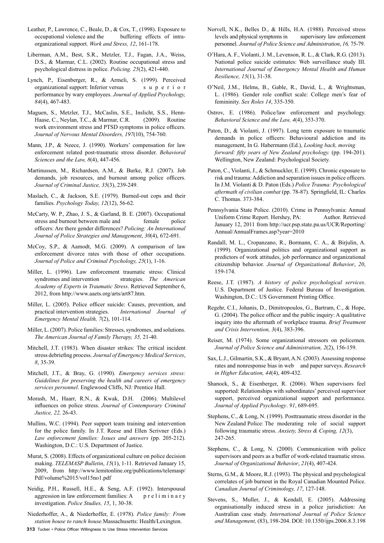- Leather, P., Lawrence, C., Beale, D., & Cox, T., (1998). Exposure to occupational violence and the buffering effects of intraorganizational support. *Work and Stress, 12*, 161-178.
- Liberman, A.M., Best, S.R., Metzler, T.J., Fagan, J.A., Weiss, D.S., & Marmar, C.L. (2002). Routine occupational stress and psychological distress in police. *Policing. 25*(2), 421-440.
- Lynch, P., Eisenberger, R., & Armeli, S. (1999). Perceived organizational support: Inferior versus s u p e r i o r performance by wary employees. *Journal of Applied Psychology, 84*(4), 467-483.
- Maguen, S., Metzler, T.J., McCaslin, S.E., Inslicht, S.S., Henn-Haase, C., Neylan, T.C., & Marmar, C.R. (2009). Routine work environment stress and PTSD symptoms in police officers*. Journal of Nervous Mental Disorders, 197*(10), 754-760.
- Mann, J.P., & Neece, J. (1990). Workers' compensation for law enforcement related post-traumatic stress disorder. *Behavioral Sciences and the Law, 8*(4), 447-456.
- Martinussen, M., Richardsen, A.M., & Burke, R.J. (2007). Job demands, job resources, and burnout among police officers. *Journal of Criminal Justice, 35*(3), 239-249.
- Maslach, C., & Jackson, S.E. (1979). Burned-out cops and their families. *Psychology Today, 12*(12), 56-62.
- McCarty, W. P., Zhao, J. S., & Garland, B. E. (2007). Occupational stress and burnout between male and female police officers: Are there gender differences? *Policing: An International Journal of Police Strategies and Management*, *30*(4), 672-691.
- McCoy, S.P., & Aamodt, M.G. (2009). A comparison of law enforcement divorce rates with those of other occupations. *Journal of Police and Criminal Psychology, 25*(1), 1-16.
- Miller, L. (1996). Law enforcement traumatic stress: Clinical syndromes and intervention strategies. *The American Academy of Experts in Traumatic Stress*. Retrieved September 6, 2012, from http://www.aaets.org/arts/art87.htm.
- Miller, L. (2005). Police officer suicide: Causes, prevention, and practical intervention strategies. *International Journal of Emergency Mental Health, 7*(2), 101-114.
- Miller, L. (2007). Police families: Stresses, syndromes, and solutions. *The American Journal of Family Therapy, 35,* 21-40.
- Mitchell, J.T. (1983). When disaster strikes: The critical incident stress debriefing process. *Journal of Emergency Medical Services*, *8*, 35-39.
- Mitchell, J.T., & Bray, G. (1990). *Emergency services stress: Guidelines for preserving the health and careers of emergency services personnel*. Englewood Cliffs, NJ: Prentice Hall.
- Morash, M., Haarr, R.N., & Kwak, D.H. (2006). Multilevel influences on police stress. *Journal of Contemporary Criminal Justice, 22,* 26-43.
- Mullins, W.C. (1994). Peer support team training and intervention for the police family. In J.T. Reese and Ellen Scrivner (Eds.) *Law enforcement families: Issues and answers* (pp. 205-212). Washington, D.C.: U.S. Department of Justice.
- Murat, S. (2008). Effects of organizational culture on police decision making. *TELEMASP Bulletin*, *15*(1), 1-11. Retrieved January 15, 2009, from http://www.lemitonline.org/publications/telemasp/ Pdf/volume%2015/vol15no1.pdf
- Neidig, P.H., Russell, H.E., & Seng, A.F. (1992). Interspousal aggression in law enforcement families:  $A$  p r e l i m i n a r y investigation. *Police Studies, 15*, 1, 30-38.
- Niederhoffer, A., & Niederhoffer, E. (1978). *Police family: From station house to ranch house.*Massachusetts: Health/Lexington.
- **313** Tucker Police Officer Willingness to Use Stress Intervention Services
- Norvell, N.K., Belles D., & Hills, H.A. (1988). Perceived stress levels and physical symptoms in supervisory law enforcement personnel. *Journal of Police Science and Administration*, *16,* 75-79.
- O'Hara, A. F., Violanti, J. M., Levenson, R. L., & Clark, R.G. (2013). National police suicide estimates: Web surveillance study III. *International Journal of Emergency Mental Health and Human Resilience, 15*(1), 31-38.
- O'Neil, J.M., Helms, B., Gable, R., David, L., & Wrightsman, L. (1986). Gender role conflict scale: College men's fear of femininity. *Sex Roles 14*, 335-350.
- Ostrov, E. (1986). Police/law enforcement and psychology. *Behavioral Science and the Law, 4*(4), 353-370.
- Paton, D., & Violanti, J. (1997). Long term exposure to traumatic demands in police officers: Behavioural addiction and its management, In G. Habermann (Ed.), *Looking back, moving forward: fifty years of New Zealand psychology.* (pp. 194-201). Wellington, New Zealand: Psychological Society.
- Paton, C., Violanti, J., & Schmuckler, E. (1999). Chronic exposure to risk and trauma: Addiction and separation issues in police officers. In J.M. Violanti & D. Paton (Eds.) *Police Trauma: Psychological aftermath of civilian combat* (pp. 78-87). Springfield, IL: Charles C. Thomas. 373-384.
- Pennsylvania State Police. (2010). Crime in Pennsylvania: Annual Uniform Crime Report. Hershey, PA: Author. Retrieved January 12, 2011 from http://ucr.psp.state.pa.us/UCR/Reporting/ Annual/AnnualFrames.asp?year=2010
- Randall, M. L., Cropanzano, R., Bormann, C. A., & Birjulin, A. (1999). Organizational politics and organizational support as predictors of work attitudes, job performance and organizational citizenship behavior. *Journal of Organizational Behavior*, *20*, 159-174.
- Reese, J.T. (1987). *A history of police psychological services*. U.S. Department of Justice. Federal Bureau of Investigation. Washington, D.C.: US Government Printing Office.
- Regehr, C.I., Johanis, D., Dimitropoulos, G., Bartram, C., & Hope, G. (2004). The police officer and the public inquiry: A qualitative inquiry into the aftermath of workplace trauma. *Brief Treatment and Crisis Intervention, 3*(4), 383-396.
- Reiser, M. (1974). Some organizational stressors on policemen. *Journal of Police Science and Administration, 2*(2), 156-159.
- Sax, L.J., Gilmartin, S.K., & Bryant, A.N. (2003). Assessing response rates and nonresponse bias in web and paper surveys. *Research in Higher Education, 44*(4), 409-432.
- Shanock, S., & Eisenberger, R. (2006). When supervisors feel supported: Relationships with subordinates' perceived supervisor support, perceived organizational support and performance. *Journal of Applied Psychology*. *91*, 689-695.
- Stephens, C., & Long, N. (1999). Posttraumatic stress disorder in the New Zealand Police: The moderating role of social support following traumatic stress. *Anxiety, Stress & Coping, 12*(3), 247-265.
- Stephens, C., & Long, N. (2000). Communication with police supervisors and peers as a buffer of work-related traumatic stress. *Journal of Organizational Behavior*, *21*(4), 407-424.
- Sterns, G.M., & Moore, R.J. (1993). The physical and psychological correlates of job burnout in the Royal Canadian Mounted Police. *Canadian Journal of Criminology, 17*, 127-148.
- Stevens, S., Muller, J., & Kendall, E. (2005). Addressing organisationally induced stress in a police jurisdiction: An Australian case study. *International Journal of Police Science and Management,* (83), 198-204. DOI: 10.1350/ijps.2006.8.3.198